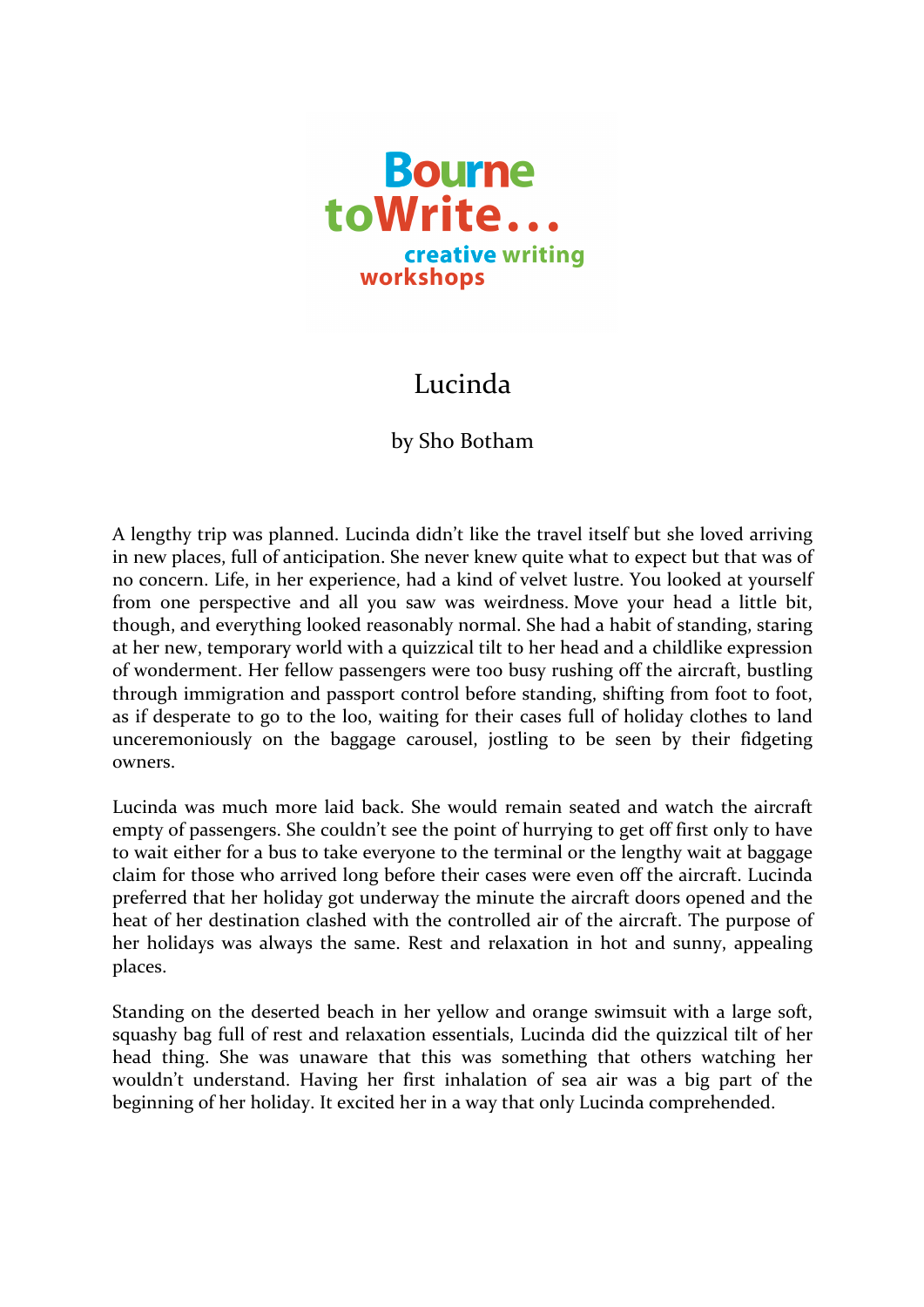

## Lucinda

## by Sho Botham

A lengthy trip was planned. Lucinda didn't like the travel itself but she loved arriving in new places, full of anticipation. She never knew quite what to expect but that was of no concern. Life, in her experience, had a kind of velvet lustre. You looked at yourself from one perspective and all you saw was weirdness. Move your head a little bit, though, and everything looked reasonably normal. She had a habit of standing, staring at her new, temporary world with a quizzical tilt to her head and a childlike expression of wonderment. Her fellow passengers were too busy rushing off the aircraft, bustling through immigration and passport control before standing, shifting from foot to foot, as if desperate to go to the loo, waiting for their cases full of holiday clothes to land unceremoniously on the baggage carousel, jostling to be seen by their fidgeting owners. 

Lucinda was much more laid back. She would remain seated and watch the aircraft empty of passengers. She couldn't see the point of hurrying to get off first only to have to wait either for a bus to take everyone to the terminal or the lengthy wait at baggage claim for those who arrived long before their cases were even off the aircraft. Lucinda preferred that her holiday got underway the minute the aircraft doors opened and the heat of her destination clashed with the controlled air of the aircraft. The purpose of her holidays was always the same. Rest and relaxation in hot and sunny, appealing places.

Standing on the deserted beach in her yellow and orange swimsuit with a large soft, squashy bag full of rest and relaxation essentials, Lucinda did the quizzical tilt of her head thing. She was unaware that this was something that others watching her wouldn't understand. Having her first inhalation of sea air was a big part of the beginning of her holiday. It excited her in a way that only Lucinda comprehended.